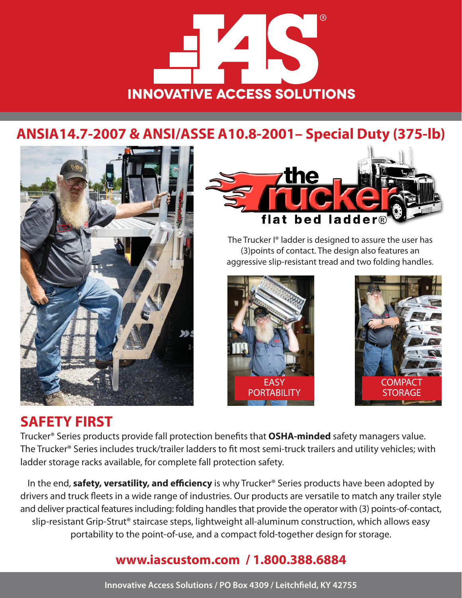# **INNOVATIVE ACCESS SOLUTIONS**

## **ANSIA14.7-2007 & ANSI/ASSE A10.8-2001– Special Duty (375-lb)**



## **SAFETY FIRST**



The Trucker I® ladder is designed to assure the user has (3)points of contact. The design also features an aggressive slip-resistant tread and two folding handles.





Trucker® Series products provide fall protection benefits that **OSHA-minded** safety managers value. The Trucker® Series includes truck/trailer ladders to fit most semi-truck trailers and utility vehicles; with ladder storage racks available, for complete fall protection safety.

In the end, **safety, versatility, and efficiency** is why Trucker® Series products have been adopted by drivers and truck fleets in a wide range of industries. Our products are versatile to match any trailer style and deliver practical features including: folding handles that provide the operator with (3) points-of-contact, slip-resistant Grip-Strut® staircase steps, lightweight all-aluminum construction, which allows easy portability to the point-of-use, and a compact fold-together design for storage.

### **www.iascustom.com / 1.800.388.6884**